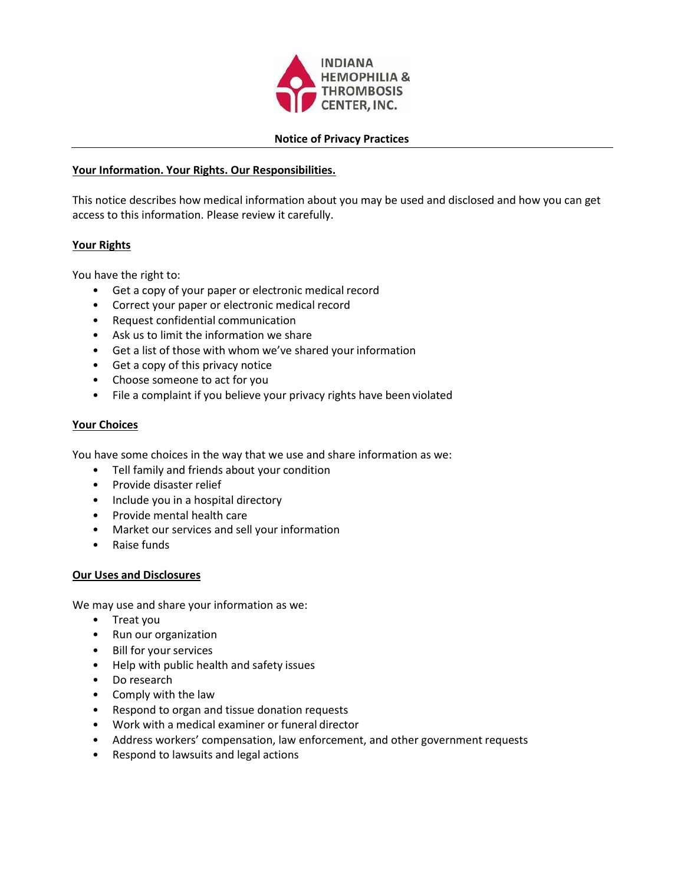

#### **Notice of Privacy Practices**

## **Your Information. Your Rights. Our Responsibilities.**

This notice describes how medical information about you may be used and disclosed and how you can get access to this information. Please review it carefully.

## **Your Rights**

You have the right to:

- Get a copy of your paper or electronic medical record
- Correct your paper or electronic medical record
- Request confidential communication
- Ask us to limit the information we share
- Get a list of those with whom we've shared your information
- Get a copy of this privacy notice
- Choose someone to act for you
- File a complaint if you believe your privacy rights have been violated

#### **Your Choices**

You have some choices in the way that we use and share information as we:

- Tell family and friends about your condition
- Provide disaster relief
- Include you in a hospital directory
- Provide mental health care
- Market our services and sell your information
- Raise funds

## **Our Uses and Disclosures**

We may use and share your information as we:

- Treat you
- Run our organization
- Bill for your services
- Help with public health and safety issues
- Do research
- Comply with the law
- Respond to organ and tissue donation requests
- Work with a medical examiner or funeral director
- Address workers' compensation, law enforcement, and other government requests
- Respond to lawsuits and legal actions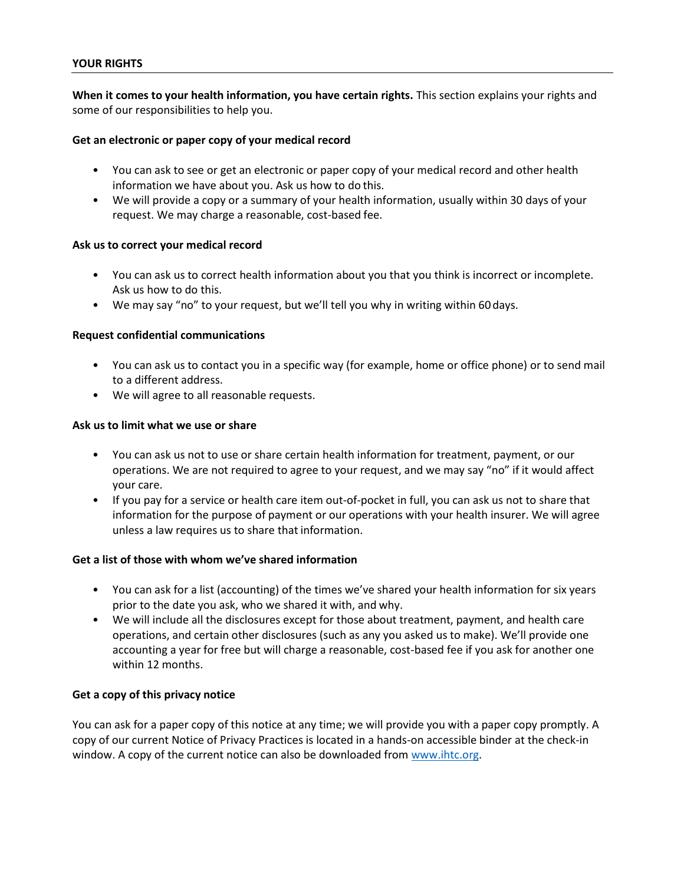#### **YOUR RIGHTS**

**When it comes to your health information, you have certain rights.** This section explains your rights and some of our responsibilities to help you.

#### **Get an electronic or paper copy of your medical record**

- You can ask to see or get an electronic or paper copy of your medical record and other health information we have about you. Ask us how to do this.
- We will provide a copy or a summary of your health information, usually within 30 days of your request. We may charge a reasonable, cost-based fee.

#### **Ask us to correct your medical record**

- You can ask us to correct health information about you that you think is incorrect or incomplete. Ask us how to do this.
- We may say "no" to your request, but we'll tell you why in writing within 60days.

#### **Request confidential communications**

- You can ask us to contact you in a specific way (for example, home or office phone) or to send mail to a different address.
- We will agree to all reasonable requests.

#### **Ask us to limit what we use or share**

- You can ask us not to use or share certain health information for treatment, payment, or our operations. We are not required to agree to your request, and we may say "no" if it would affect your care.
- If you pay for a service or health care item out-of-pocket in full, you can ask us not to share that information for the purpose of payment or our operations with your health insurer. We will agree unless a law requires us to share that information.

## **Get a list of those with whom we've shared information**

- You can ask for a list (accounting) of the times we've shared your health information for six years prior to the date you ask, who we shared it with, and why.
- We will include all the disclosures except for those about treatment, payment, and health care operations, and certain other disclosures (such as any you asked us to make). We'll provide one accounting a year for free but will charge a reasonable, cost-based fee if you ask for another one within 12 months.

## **Get a copy of this privacy notice**

You can ask for a paper copy of this notice at any time; we will provide you with a paper copy promptly. A copy of our current Notice of Privacy Practices is located in a hands-on accessible binder at the check-in window. A copy of the current notice can also be downloaded from [www.ihtc.org.](http://www.ihtc.org/)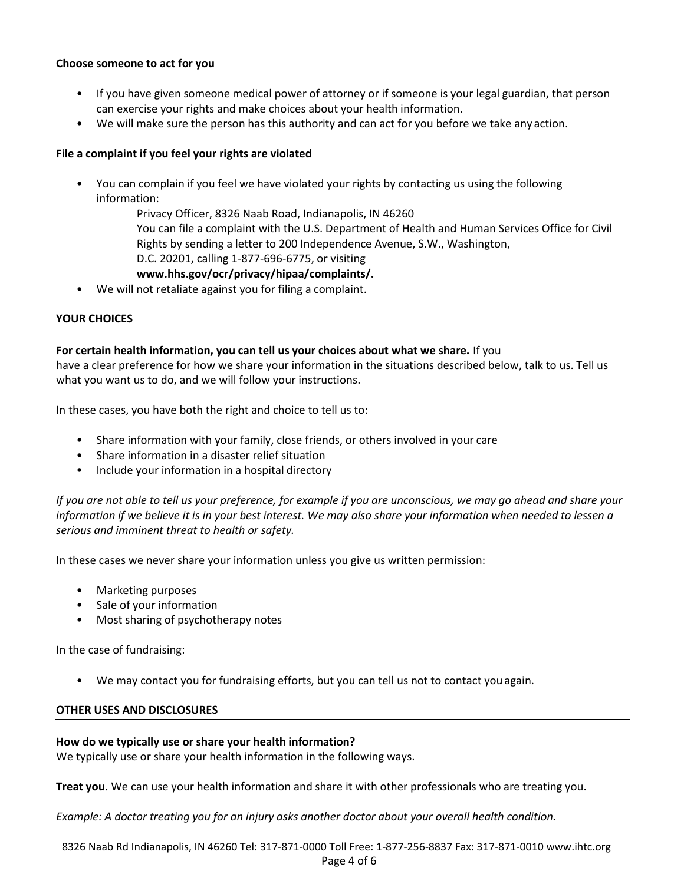## **Choose someone to act for you**

- If you have given someone medical power of attorney or if someone is your legal guardian, that person can exercise your rights and make choices about your health information.
- We will make sure the person has this authority and can act for you before we take any action.

# **File a complaint if you feel your rights are violated**

• You can complain if you feel we have violated your rights by contacting us using the following information:

> Privacy Officer, 8326 Naab Road, Indianapolis, IN 46260 You can file a complaint with the U.S. Department of Health and Human Services Office for Civil Rights by sending a letter to 200 Independence Avenue, S.W., Washington, D.C. 20201, calling 1-877-696-6775, or visiting

# **[www.hhs.gov/ocr/privacy/hipaa/complaints/.](http://www.hhs.gov/ocr/privacy/hipaa/complaints/)**

• We will not retaliate against you for filing a complaint.

## **YOUR CHOICES**

#### **For certain health information, you can tell us your choices about what we share.** If you

have a clear preference for how we share your information in the situations described below, talk to us. Tell us what you want us to do, and we will follow your instructions.

In these cases, you have both the right and choice to tell us to:

- Share information with your family, close friends, or others involved in your care
- Share information in a disaster relief situation
- Include your information in a hospital directory

*If you are not able to tell us your preference, for example if you are unconscious, we may go ahead and share your information if we believe it is in your best interest. We may also share your information when needed to lessen a serious and imminent threat to health or safety.*

In these cases we never share your information unless you give us written permission:

- Marketing purposes
- Sale of your information
- Most sharing of psychotherapy notes

In the case of fundraising:

• We may contact you for fundraising efforts, but you can tell us not to contact you again.

#### **OTHER USES AND DISCLOSURES**

#### **How do we typically use or share your health information?**

We typically use or share your health information in the following ways.

**Treat you.** We can use your health information and share it with other professionals who are treating you.

*Example: A doctor treating you for an injury asks another doctor about your overall health condition.*

8326 Naab Rd Indianapolis, IN 46260 Tel: 317-871-0000 Toll Free: 1-877-256-8837 Fax: 317-871-0010 [www.ihtc.org](http://www.ihtc.org/) Page 4 of 6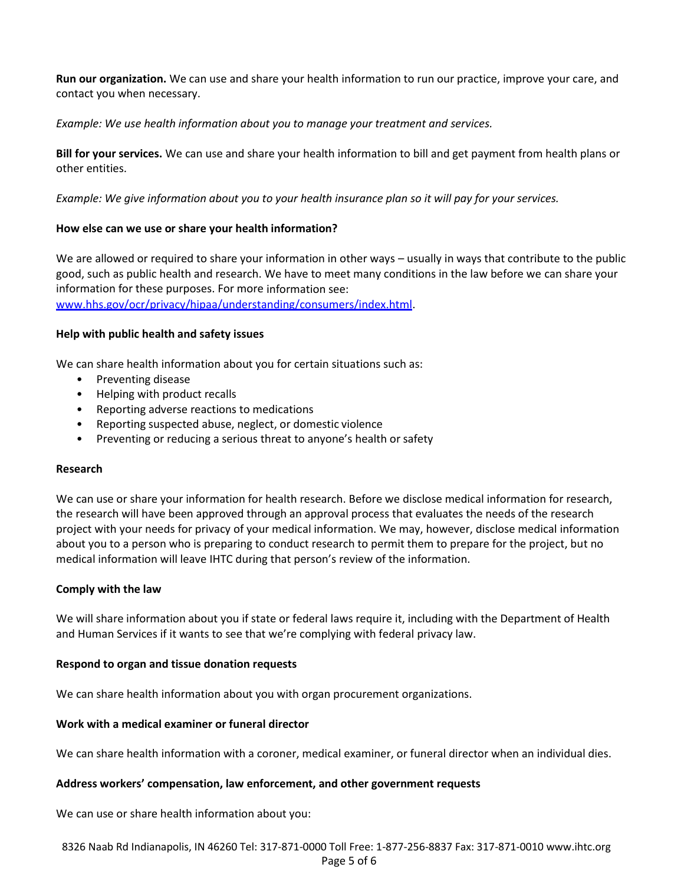**Run our organization.** We can use and share your health information to run our practice, improve your care, and contact you when necessary.

*Example: We use health information about you to manage your treatment and services.*

**Bill for your services.** We can use and share your health information to bill and get payment from health plans or other entities.

*Example: We give information about you to your health insurance plan so it will pay for your services.*

# **How else can we use or share your health information?**

We are allowed or required to share your information in other ways – usually in ways that contribute to the public good, such as public health and research. We have to meet many conditions in the law before we can share your information for these purposes. For more information see: [www.hhs.gov/ocr/privacy/hipaa/understanding/consumers/index.html.](http://www.hhs.gov/ocr/privacy/hipaa/understanding/consumers/index.html)

## **Help with public health and safety issues**

We can share health information about you for certain situations such as:

- Preventing disease
- Helping with product recalls
- Reporting adverse reactions to medications
- Reporting suspected abuse, neglect, or domestic violence
- Preventing or reducing a serious threat to anyone's health or safety

## **Research**

We can use or share your information for health research. Before we disclose medical information for research, the research will have been approved through an approval process that evaluates the needs of the research project with your needs for privacy of your medical information. We may, however, disclose medical information about you to a person who is preparing to conduct research to permit them to prepare for the project, but no medical information will leave IHTC during that person's review of the information.

## **Comply with the law**

We will share information about you if state or federal laws require it, including with the Department of Health and Human Services if it wants to see that we're complying with federal privacy law.

## **Respond to organ and tissue donation requests**

We can share health information about you with organ procurement organizations.

## **Work with a medical examiner or funeral director**

We can share health information with a coroner, medical examiner, or funeral director when an individual dies.

## **Address workers' compensation, law enforcement, and other government requests**

We can use or share health information about you:

8326 Naab Rd Indianapolis, IN 46260 Tel: 317-871-0000 Toll Free: 1-877-256-8837 Fax: 317-871-0010 [www.ihtc.org](http://www.ihtc.org/) Page 5 of 6